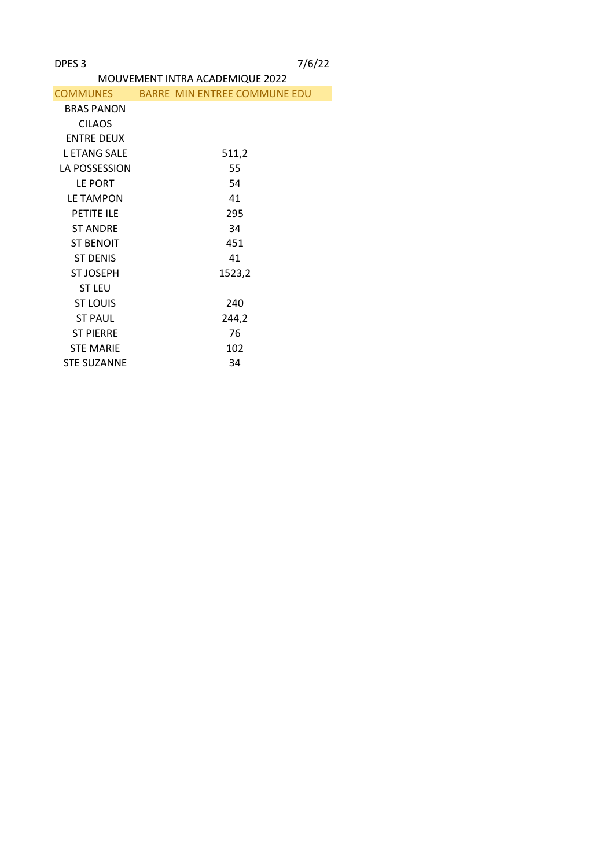|                     | MOUVEMENT INTRA ACADEMIQUE 2022       |
|---------------------|---------------------------------------|
|                     | COMMUNES BARRE MIN ENTREE COMMUNE EDU |
| <b>BRAS PANON</b>   |                                       |
| <b>CILAOS</b>       |                                       |
| <b>ENTRE DEUX</b>   |                                       |
| <b>L ETANG SALE</b> | 511,2                                 |
| LA POSSESSION       | 55                                    |
| LE PORT             | 54                                    |
| <b>LE TAMPON</b>    | 41                                    |
| PETITE ILE          | 295                                   |
| <b>ST ANDRE</b>     | 34                                    |
| <b>ST BENOIT</b>    | 451                                   |
| <b>ST DENIS</b>     | 41                                    |
| <b>ST JOSEPH</b>    | 1523,2                                |
| <b>ST LEU</b>       |                                       |
| <b>ST LOUIS</b>     | 240                                   |
| <b>ST PAUL</b>      | 244,2                                 |
| <b>ST PIERRE</b>    | 76                                    |
| <b>STE MARIE</b>    | 102                                   |
| <b>STE SUZANNE</b>  | 34                                    |
|                     |                                       |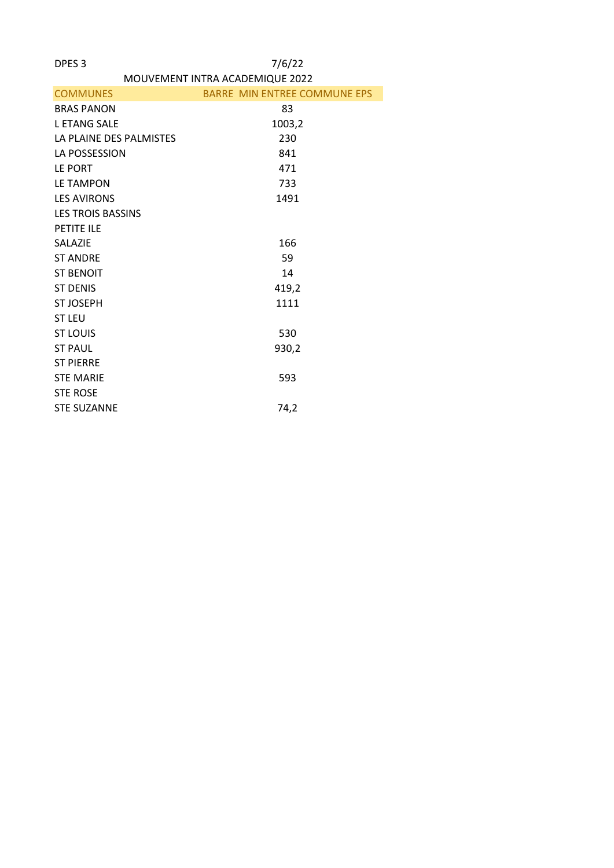| MOUVEMENT INTRA ACADEMIQUE 2022 |  |  |  |  |
|---------------------------------|--|--|--|--|
|                                 |  |  |  |  |

| <b>COMMUNES</b>          | <b>BARRE MIN ENTREE COMMUNE EPS</b> |
|--------------------------|-------------------------------------|
| <b>BRAS PANON</b>        | 83                                  |
| <b>LETANG SALE</b>       | 1003,2                              |
| LA PLAINE DES PALMISTES  | 230                                 |
| LA POSSESSION            | 841                                 |
| LE PORT                  | 471                                 |
| <b>LE TAMPON</b>         | 733                                 |
| <b>LES AVIRONS</b>       | 1491                                |
| <b>LES TROIS BASSINS</b> |                                     |
| PETITE ILE               |                                     |
| <b>SALAZIE</b>           | 166                                 |
| <b>ST ANDRE</b>          | 59                                  |
| <b>ST BENOIT</b>         | 14                                  |
| <b>ST DENIS</b>          | 419,2                               |
| <b>ST JOSEPH</b>         | 1111                                |
| <b>ST LEU</b>            |                                     |
| <b>ST LOUIS</b>          | 530                                 |
| <b>ST PAUL</b>           | 930,2                               |
| <b>ST PIERRE</b>         |                                     |
| <b>STE MARIE</b>         | 593                                 |
| <b>STE ROSE</b>          |                                     |
| <b>STE SUZANNE</b>       | 74,2                                |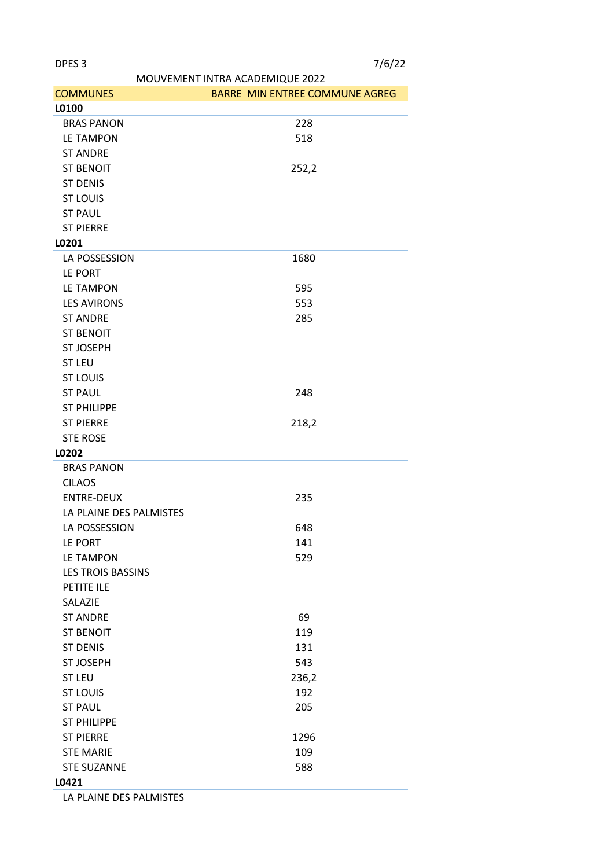|                          | MOUVEMENT INTRA ACADEMIQUE 2022 |
|--------------------------|---------------------------------|
| <b>COMMUNES</b>          | BARRE MIN ENTREE COMMUNE AGREG  |
| L0100                    |                                 |
| <b>BRAS PANON</b>        | 228                             |
| <b>LE TAMPON</b>         | 518                             |
| <b>ST ANDRE</b>          |                                 |
| <b>ST BENOIT</b>         | 252,2                           |
| <b>ST DENIS</b>          |                                 |
| <b>ST LOUIS</b>          |                                 |
| <b>ST PAUL</b>           |                                 |
| <b>ST PIERRE</b>         |                                 |
| L0201                    |                                 |
| LA POSSESSION            | 1680                            |
| LE PORT                  |                                 |
|                          |                                 |
| LE TAMPON                | 595                             |
| <b>LES AVIRONS</b>       | 553                             |
| <b>ST ANDRE</b>          | 285                             |
| <b>ST BENOIT</b>         |                                 |
| <b>ST JOSEPH</b>         |                                 |
| <b>ST LEU</b>            |                                 |
| <b>ST LOUIS</b>          |                                 |
| <b>ST PAUL</b>           | 248                             |
| <b>ST PHILIPPE</b>       |                                 |
| <b>ST PIERRE</b>         | 218,2                           |
| <b>STE ROSE</b>          |                                 |
| L0202                    |                                 |
| <b>BRAS PANON</b>        |                                 |
| <b>CILAOS</b>            |                                 |
| <b>ENTRE-DEUX</b>        | 235                             |
| LA PLAINE DES PALMISTES  |                                 |
| LA POSSESSION            | 648                             |
| LE PORT                  | 141                             |
| LE TAMPON                | 529                             |
| <b>LES TROIS BASSINS</b> |                                 |
| PETITE ILE               |                                 |
| SALAZIE                  |                                 |
| <b>ST ANDRE</b>          | 69                              |
| <b>ST BENOIT</b>         | 119                             |
|                          |                                 |
| <b>ST DENIS</b>          | 131                             |
| <b>ST JOSEPH</b>         | 543                             |
| <b>ST LEU</b>            | 236,2                           |
| <b>ST LOUIS</b>          | 192                             |
| <b>ST PAUL</b>           | 205                             |
| <b>ST PHILIPPE</b>       |                                 |
| <b>ST PIERRE</b>         | 1296                            |
| <b>STE MARIE</b>         | 109                             |
| <b>STE SUZANNE</b>       | 588                             |
| L0421                    |                                 |

LA PLAINE DES PALMISTES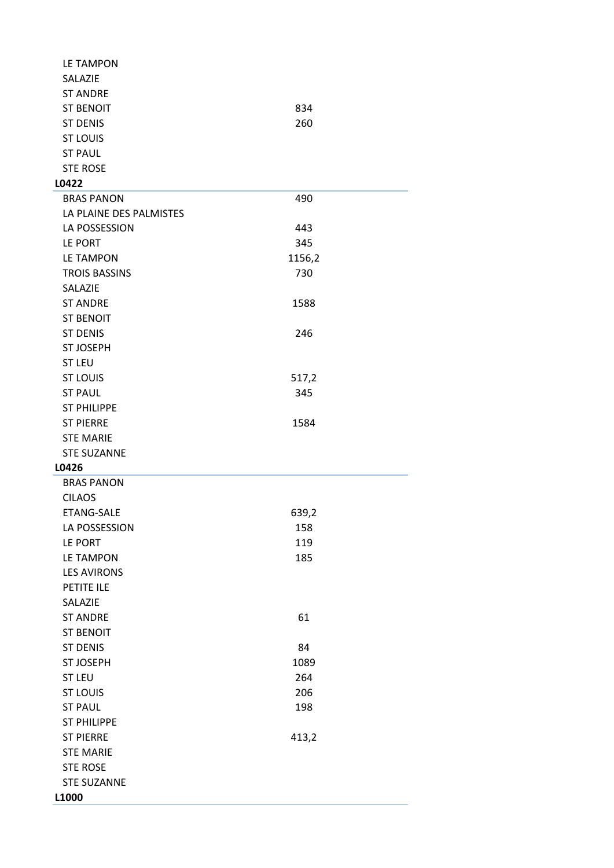| <b>LE TAMPON</b>        |        |
|-------------------------|--------|
| SALAZIE                 |        |
| <b>ST ANDRE</b>         |        |
| <b>ST BENOIT</b>        | 834    |
| <b>ST DENIS</b>         | 260    |
| <b>ST LOUIS</b>         |        |
| <b>ST PAUL</b>          |        |
| <b>STE ROSE</b>         |        |
| L0422                   |        |
| <b>BRAS PANON</b>       | 490    |
| LA PLAINE DES PALMISTES |        |
| LA POSSESSION           | 443    |
| LE PORT                 | 345    |
| LE TAMPON               | 1156,2 |
| <b>TROIS BASSINS</b>    | 730    |
| <b>SALAZIE</b>          |        |
|                         |        |
| <b>ST ANDRE</b>         | 1588   |
| <b>ST BENOIT</b>        |        |
| <b>ST DENIS</b>         | 246    |
| <b>ST JOSEPH</b>        |        |
| <b>ST LEU</b>           |        |
| <b>ST LOUIS</b>         | 517,2  |
| <b>ST PAUL</b>          | 345    |
| <b>ST PHILIPPE</b>      |        |
| <b>ST PIERRE</b>        | 1584   |
| <b>STE MARIE</b>        |        |
| <b>STE SUZANNE</b>      |        |
| L0426                   |        |
| <b>BRAS PANON</b>       |        |
| <b>CILAOS</b>           |        |
| <b>ETANG-SALE</b>       | 639,2  |
| LA POSSESSION           | 158    |
| LE PORT                 | 119    |
| <b>LE TAMPON</b>        | 185    |
| <b>LES AVIRONS</b>      |        |
| PETITE ILE              |        |
| SALAZIE                 |        |
| <b>ST ANDRE</b>         | 61     |
| <b>ST BENOIT</b>        |        |
| <b>ST DENIS</b>         | 84     |
| <b>ST JOSEPH</b>        | 1089   |
| <b>ST LEU</b>           | 264    |
| <b>ST LOUIS</b>         | 206    |
| <b>ST PAUL</b>          | 198    |
| <b>ST PHILIPPE</b>      |        |
| <b>ST PIERRE</b>        | 413,2  |
| <b>STE MARIE</b>        |        |
| <b>STE ROSE</b>         |        |
|                         |        |
| <b>STE SUZANNE</b>      |        |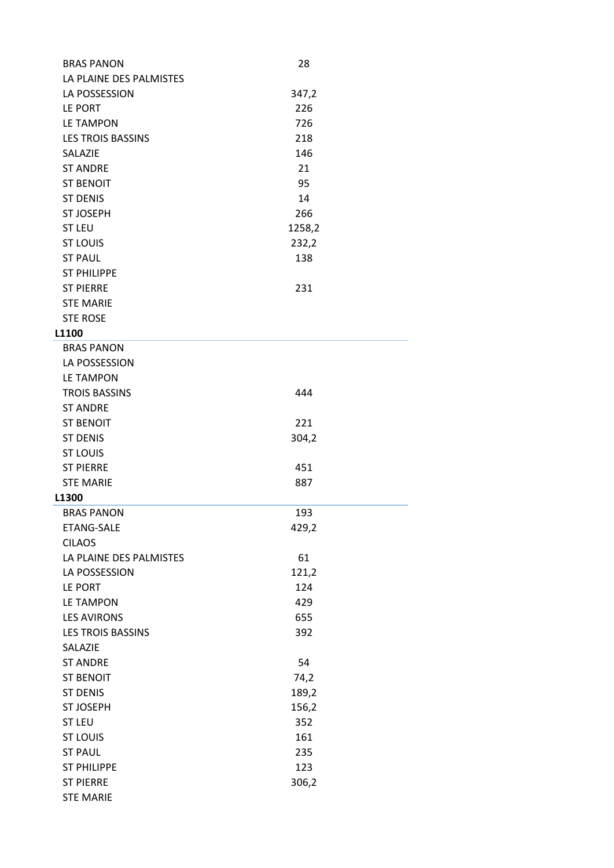| <b>BRAS PANON</b>        | 28     |
|--------------------------|--------|
| LA PLAINE DES PALMISTES  |        |
| LA POSSESSION            | 347,2  |
| LE PORT                  | 226    |
| <b>LE TAMPON</b>         | 726    |
| <b>LES TROIS BASSINS</b> | 218    |
| SALAZIE                  | 146    |
| <b>ST ANDRE</b>          | 21     |
| <b>ST BENOIT</b>         | 95     |
| <b>ST DENIS</b>          | 14     |
| <b>ST JOSEPH</b>         | 266    |
| <b>ST LEU</b>            | 1258,2 |
| <b>ST LOUIS</b>          | 232,2  |
| <b>ST PAUL</b>           | 138    |
| <b>ST PHILIPPE</b>       |        |
|                          | 231    |
| <b>ST PIERRE</b>         |        |
| <b>STE MARIE</b>         |        |
| <b>STE ROSE</b>          |        |
| <b>L1100</b>             |        |
| <b>BRAS PANON</b>        |        |
| LA POSSESSION            |        |
| <b>LE TAMPON</b>         |        |
| <b>TROIS BASSINS</b>     | 444    |
| <b>ST ANDRE</b>          |        |
| <b>ST BENOIT</b>         | 221    |
| <b>ST DENIS</b>          | 304,2  |
| <b>ST LOUIS</b>          |        |
| <b>ST PIERRE</b>         | 451    |
| <b>STE MARIE</b>         | 887    |
| L1300                    |        |
| <b>BRAS PANON</b>        | 193    |
| ETANG-SALE               | 429,2  |
| <b>CILAOS</b>            |        |
| LA PLAINE DES PALMISTES  | 61     |
| LA POSSESSION            | 121,2  |
| LE PORT                  | 124    |
| <b>LE TAMPON</b>         | 429    |
| <b>LES AVIRONS</b>       | 655    |
| <b>LES TROIS BASSINS</b> | 392    |
| SALAZIE                  |        |
| <b>ST ANDRE</b>          | 54     |
| <b>ST BENOIT</b>         | 74,2   |
| <b>ST DENIS</b>          | 189,2  |
| <b>ST JOSEPH</b>         | 156,2  |
| <b>ST LEU</b>            | 352    |
| <b>ST LOUIS</b>          | 161    |
| <b>ST PAUL</b>           | 235    |
| <b>ST PHILIPPE</b>       | 123    |
| <b>ST PIERRE</b>         | 306,2  |
| <b>STE MARIE</b>         |        |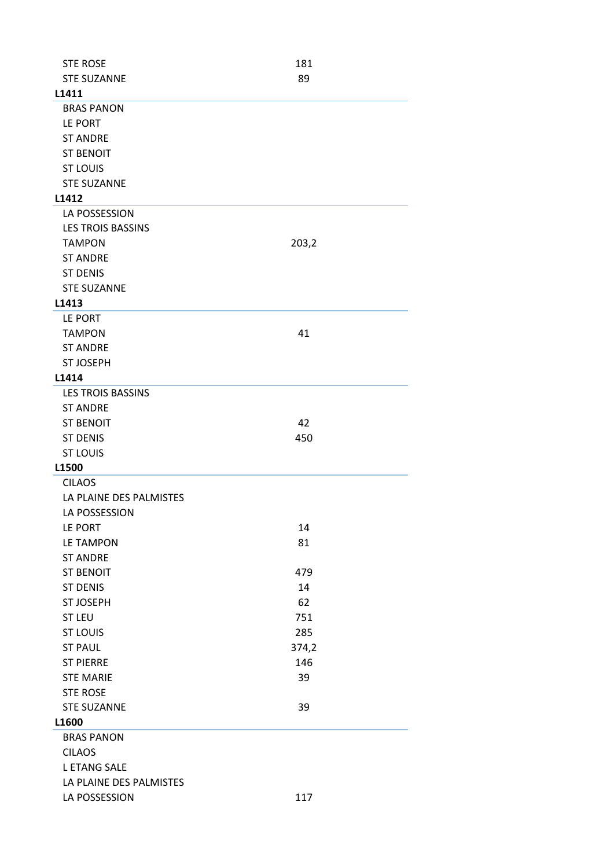| <b>STE ROSE</b>          | 181   |  |
|--------------------------|-------|--|
| <b>STE SUZANNE</b>       | 89    |  |
| L1411                    |       |  |
| <b>BRAS PANON</b>        |       |  |
| LE PORT                  |       |  |
| <b>ST ANDRE</b>          |       |  |
| <b>ST BENOIT</b>         |       |  |
| <b>ST LOUIS</b>          |       |  |
| <b>STE SUZANNE</b>       |       |  |
| L1412                    |       |  |
| LA POSSESSION            |       |  |
| <b>LES TROIS BASSINS</b> |       |  |
| <b>TAMPON</b>            | 203,2 |  |
| <b>ST ANDRE</b>          |       |  |
| <b>ST DENIS</b>          |       |  |
| <b>STE SUZANNE</b>       |       |  |
|                          |       |  |
| L1413                    |       |  |
| LE PORT                  |       |  |
| <b>TAMPON</b>            | 41    |  |
| <b>ST ANDRE</b>          |       |  |
| <b>ST JOSEPH</b>         |       |  |
| L1414                    |       |  |
| <b>LES TROIS BASSINS</b> |       |  |
| <b>ST ANDRE</b>          |       |  |
| <b>ST BENOIT</b>         | 42    |  |
| <b>ST DENIS</b>          | 450   |  |
| <b>ST LOUIS</b>          |       |  |
| L1500                    |       |  |
| <b>CILAOS</b>            |       |  |
| LA PLAINE DES PALMISTES  |       |  |
| LA POSSESSION            |       |  |
| LE PORT                  | 14    |  |
| <b>LE TAMPON</b>         | 81    |  |
| <b>ST ANDRE</b>          |       |  |
| <b>ST BENOIT</b>         | 479   |  |
| <b>ST DENIS</b>          | 14    |  |
| <b>ST JOSEPH</b>         | 62    |  |
| <b>ST LEU</b>            | 751   |  |
| <b>ST LOUIS</b>          | 285   |  |
| <b>ST PAUL</b>           | 374,2 |  |
| <b>ST PIERRE</b>         | 146   |  |
| <b>STE MARIE</b>         | 39    |  |
| <b>STE ROSE</b>          |       |  |
| <b>STE SUZANNE</b>       | 39    |  |
| L1600                    |       |  |
| <b>BRAS PANON</b>        |       |  |
|                          |       |  |
| <b>CILAOS</b>            |       |  |
| <b>L ETANG SALE</b>      |       |  |
| LA PLAINE DES PALMISTES  |       |  |
| LA POSSESSION            | 117   |  |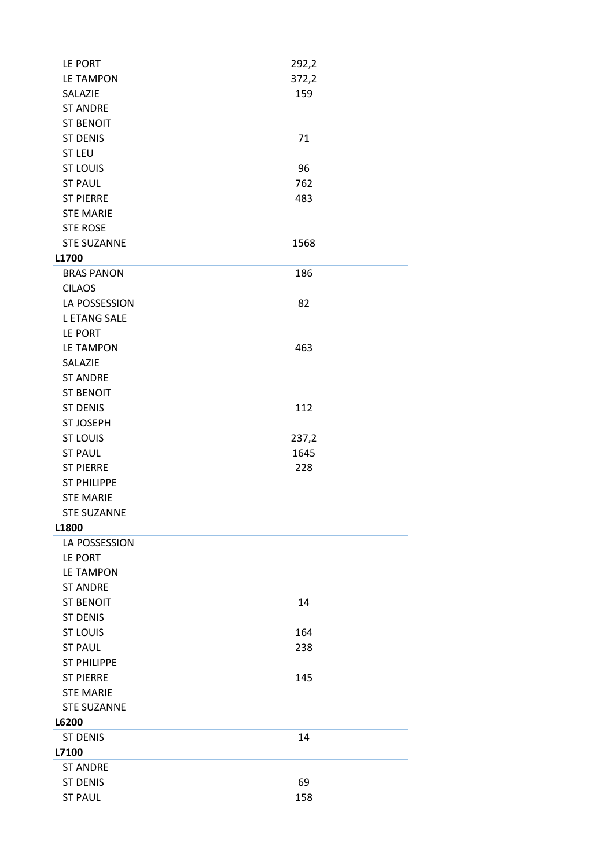| LE PORT             | 292,2 |  |
|---------------------|-------|--|
| <b>LE TAMPON</b>    | 372,2 |  |
| SALAZIE             | 159   |  |
| <b>ST ANDRE</b>     |       |  |
| <b>ST BENOIT</b>    |       |  |
| <b>ST DENIS</b>     | 71    |  |
| <b>ST LEU</b>       |       |  |
| <b>ST LOUIS</b>     | 96    |  |
| <b>ST PAUL</b>      | 762   |  |
| <b>ST PIERRE</b>    | 483   |  |
| <b>STE MARIE</b>    |       |  |
| <b>STE ROSE</b>     |       |  |
| <b>STE SUZANNE</b>  | 1568  |  |
| L1700               |       |  |
| <b>BRAS PANON</b>   | 186   |  |
| <b>CILAOS</b>       |       |  |
| LA POSSESSION       | 82    |  |
| <b>L ETANG SALE</b> |       |  |
| LE PORT             |       |  |
| <b>LE TAMPON</b>    | 463   |  |
| SALAZIE             |       |  |
| <b>ST ANDRE</b>     |       |  |
| <b>ST BENOIT</b>    |       |  |
| <b>ST DENIS</b>     | 112   |  |
| <b>ST JOSEPH</b>    |       |  |
| <b>ST LOUIS</b>     | 237,2 |  |
| <b>ST PAUL</b>      | 1645  |  |
| <b>ST PIERRE</b>    | 228   |  |
| <b>ST PHILIPPE</b>  |       |  |
| <b>STE MARIE</b>    |       |  |
| <b>STE SUZANNE</b>  |       |  |
| L1800               |       |  |
| LA POSSESSION       |       |  |
| LE PORT             |       |  |
|                     |       |  |
| <b>LE TAMPON</b>    |       |  |
| <b>ST ANDRE</b>     |       |  |
| <b>ST BENOIT</b>    | 14    |  |
| <b>ST DENIS</b>     |       |  |
| <b>ST LOUIS</b>     | 164   |  |
| <b>ST PAUL</b>      | 238   |  |
| <b>ST PHILIPPE</b>  |       |  |
| <b>ST PIERRE</b>    | 145   |  |
| <b>STE MARIE</b>    |       |  |
| <b>STE SUZANNE</b>  |       |  |
| L6200               |       |  |
| <b>ST DENIS</b>     | 14    |  |
| L7100               |       |  |
| <b>ST ANDRE</b>     |       |  |
| <b>ST DENIS</b>     | 69    |  |
| <b>ST PAUL</b>      | 158   |  |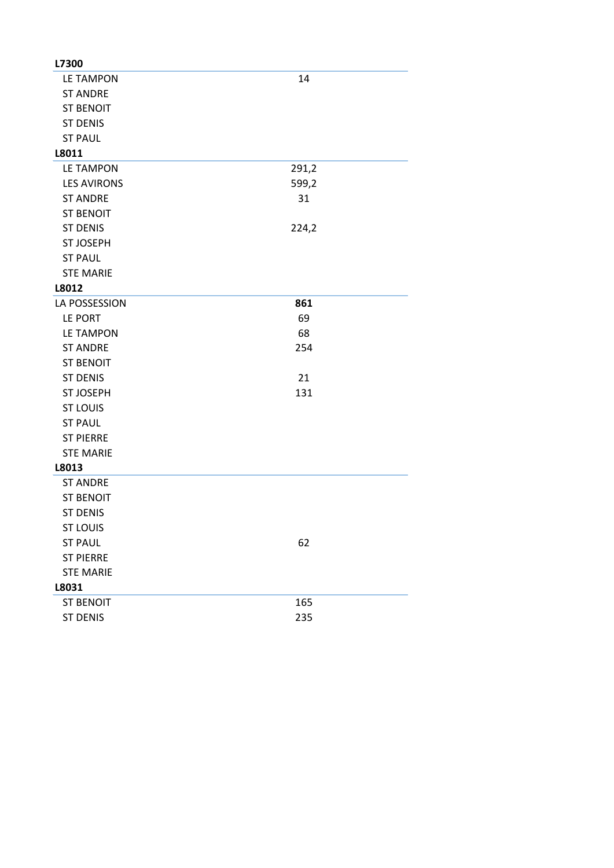| L7300              |       |
|--------------------|-------|
| LE TAMPON          | 14    |
| <b>ST ANDRE</b>    |       |
| <b>ST BENOIT</b>   |       |
| <b>ST DENIS</b>    |       |
| <b>ST PAUL</b>     |       |
| L8011              |       |
| <b>LE TAMPON</b>   | 291,2 |
| <b>LES AVIRONS</b> | 599,2 |
| <b>ST ANDRE</b>    | 31    |
| <b>ST BENOIT</b>   |       |
| <b>ST DENIS</b>    | 224,2 |
| <b>ST JOSEPH</b>   |       |
| <b>ST PAUL</b>     |       |
| <b>STE MARIE</b>   |       |
| L8012              |       |
| LA POSSESSION      | 861   |
| LE PORT            | 69    |
| <b>LE TAMPON</b>   | 68    |
| <b>ST ANDRE</b>    | 254   |
| <b>ST BENOIT</b>   |       |
| <b>ST DENIS</b>    | 21    |
| <b>ST JOSEPH</b>   | 131   |
| <b>ST LOUIS</b>    |       |
| <b>ST PAUL</b>     |       |
| <b>ST PIERRE</b>   |       |
| <b>STE MARIE</b>   |       |
| L8013              |       |
| <b>ST ANDRE</b>    |       |
| <b>ST BENOIT</b>   |       |
| <b>ST DENIS</b>    |       |
| <b>ST LOUIS</b>    |       |
| <b>ST PAUL</b>     | 62    |
| <b>ST PIERRE</b>   |       |
| <b>STE MARIE</b>   |       |
| L8031              |       |
| <b>ST BENOIT</b>   | 165   |
| <b>ST DENIS</b>    | 235   |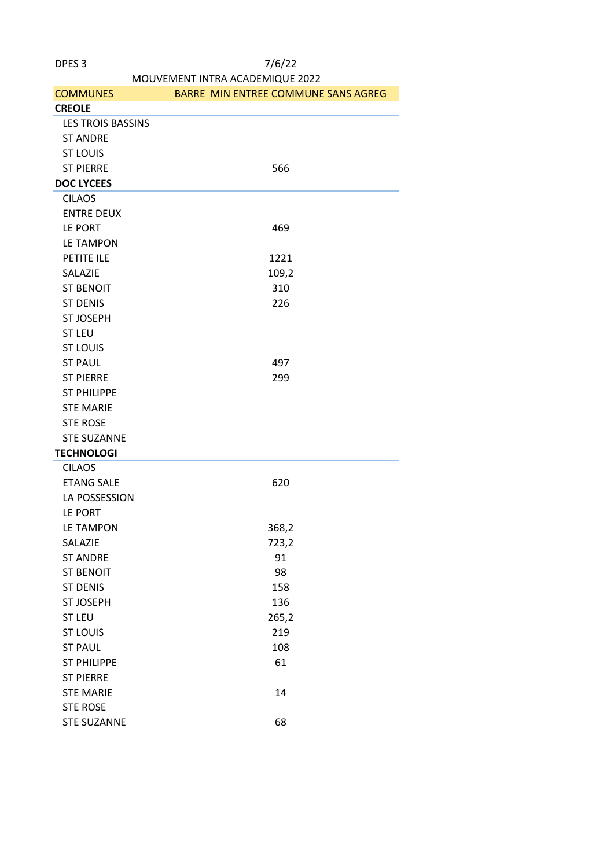| MOUVEMENT INTRA ACADEMIQUE 2022 |                                     |  |  |
|---------------------------------|-------------------------------------|--|--|
| <b>COMMUNES</b>                 | BARRE MIN ENTREE COMMUNE SANS AGREG |  |  |
| <b>CREOLE</b>                   |                                     |  |  |
| <b>LES TROIS BASSINS</b>        |                                     |  |  |
| <b>ST ANDRE</b>                 |                                     |  |  |
| <b>ST LOUIS</b>                 |                                     |  |  |
| <b>ST PIERRE</b>                | 566                                 |  |  |
| <b>DOC LYCEES</b>               |                                     |  |  |
| <b>CILAOS</b>                   |                                     |  |  |
| <b>ENTRE DEUX</b>               |                                     |  |  |
| LE PORT                         | 469                                 |  |  |
| LE TAMPON                       |                                     |  |  |
| PETITE ILE                      | 1221                                |  |  |
| SALAZIE                         | 109,2                               |  |  |
| <b>ST BENOIT</b>                | 310                                 |  |  |
| <b>ST DENIS</b>                 | 226                                 |  |  |
| <b>ST JOSEPH</b>                |                                     |  |  |
| <b>ST LEU</b>                   |                                     |  |  |
| <b>ST LOUIS</b>                 |                                     |  |  |
| <b>ST PAUL</b>                  | 497                                 |  |  |
| <b>ST PIERRE</b>                | 299                                 |  |  |
| <b>ST PHILIPPE</b>              |                                     |  |  |
| <b>STE MARIE</b>                |                                     |  |  |
| <b>STE ROSE</b>                 |                                     |  |  |
| <b>STE SUZANNE</b>              |                                     |  |  |
| <b>TECHNOLOGI</b>               |                                     |  |  |
| <b>CILAOS</b>                   |                                     |  |  |
| <b>ETANG SALE</b>               | 620                                 |  |  |
| LA POSSESSION                   |                                     |  |  |
| LE PORT                         |                                     |  |  |
| <b>LE TAMPON</b>                | 368,2                               |  |  |
| SALAZIE                         | 723,2                               |  |  |
| <b>ST ANDRE</b>                 | 91                                  |  |  |
| <b>ST BENOIT</b>                | 98                                  |  |  |
| <b>ST DENIS</b>                 | 158                                 |  |  |
| <b>ST JOSEPH</b>                | 136                                 |  |  |
| <b>ST LEU</b>                   | 265,2                               |  |  |
| <b>ST LOUIS</b>                 | 219                                 |  |  |
| <b>ST PAUL</b>                  | 108                                 |  |  |
| <b>ST PHILIPPE</b>              | 61                                  |  |  |
| <b>ST PIERRE</b>                |                                     |  |  |
| <b>STE MARIE</b>                | 14                                  |  |  |
| <b>STE ROSE</b>                 |                                     |  |  |
| <b>STE SUZANNE</b>              | 68                                  |  |  |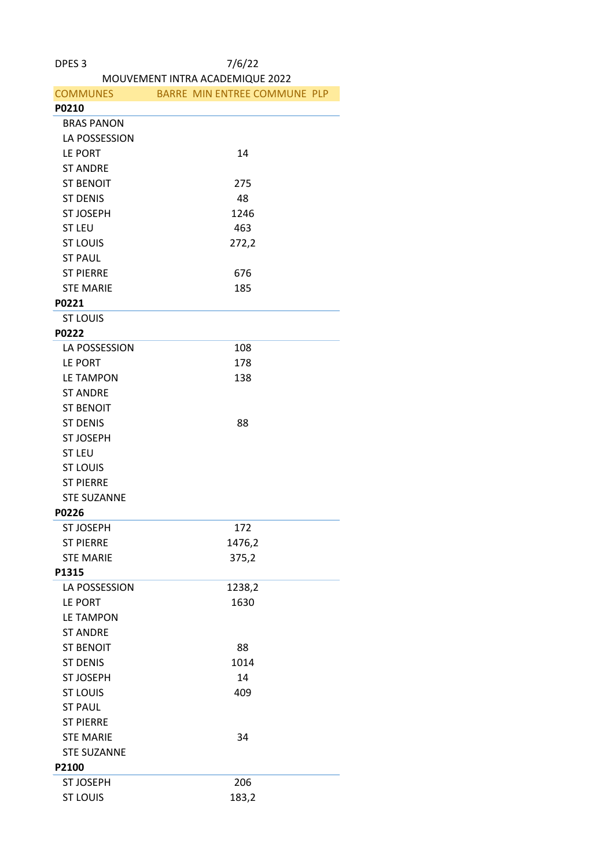| DPES <sub>3</sub>  | 7/6/22                          |  |  |
|--------------------|---------------------------------|--|--|
|                    | MOUVEMENT INTRA ACADEMIQUE 2022 |  |  |
| <b>COMMUNES</b>    | BARRE MIN ENTREE COMMUNE PLP    |  |  |
| P0210              |                                 |  |  |
| <b>BRAS PANON</b>  |                                 |  |  |
| LA POSSESSION      |                                 |  |  |
| LE PORT            | 14                              |  |  |
| <b>ST ANDRE</b>    |                                 |  |  |
| <b>ST BENOIT</b>   | 275                             |  |  |
| <b>ST DENIS</b>    | 48                              |  |  |
| <b>ST JOSEPH</b>   | 1246                            |  |  |
| <b>ST LEU</b>      | 463                             |  |  |
| <b>ST LOUIS</b>    | 272,2                           |  |  |
| <b>ST PAUL</b>     |                                 |  |  |
| <b>ST PIERRE</b>   | 676                             |  |  |
| <b>STE MARIE</b>   | 185                             |  |  |
| P0221              |                                 |  |  |
| <b>ST LOUIS</b>    |                                 |  |  |
| P0222              |                                 |  |  |
| LA POSSESSION      | 108                             |  |  |
| LE PORT            | 178                             |  |  |
| <b>LE TAMPON</b>   | 138                             |  |  |
| <b>ST ANDRE</b>    |                                 |  |  |
| <b>ST BENOIT</b>   |                                 |  |  |
| <b>ST DENIS</b>    | 88                              |  |  |
| <b>ST JOSEPH</b>   |                                 |  |  |
| <b>ST LEU</b>      |                                 |  |  |
| <b>ST LOUIS</b>    |                                 |  |  |
| <b>ST PIERRE</b>   |                                 |  |  |
| <b>STE SUZANNE</b> |                                 |  |  |
| P0226              |                                 |  |  |
| <b>ST JOSEPH</b>   | 172                             |  |  |
| <b>ST PIERRE</b>   | 1476,2                          |  |  |
| <b>STE MARIE</b>   | 375,2                           |  |  |
| P1315              |                                 |  |  |
| LA POSSESSION      | 1238,2                          |  |  |
| LE PORT            | 1630                            |  |  |
| <b>LE TAMPON</b>   |                                 |  |  |
| <b>ST ANDRE</b>    |                                 |  |  |
| <b>ST BENOIT</b>   | 88                              |  |  |
| <b>ST DENIS</b>    | 1014                            |  |  |
| <b>ST JOSEPH</b>   | 14                              |  |  |
| <b>ST LOUIS</b>    | 409                             |  |  |
| <b>ST PAUL</b>     |                                 |  |  |
| <b>ST PIERRE</b>   |                                 |  |  |
| <b>STE MARIE</b>   | 34                              |  |  |
| <b>STE SUZANNE</b> |                                 |  |  |
|                    |                                 |  |  |
| P2100              |                                 |  |  |
| <b>ST JOSEPH</b>   | 206                             |  |  |
| <b>ST LOUIS</b>    | 183,2                           |  |  |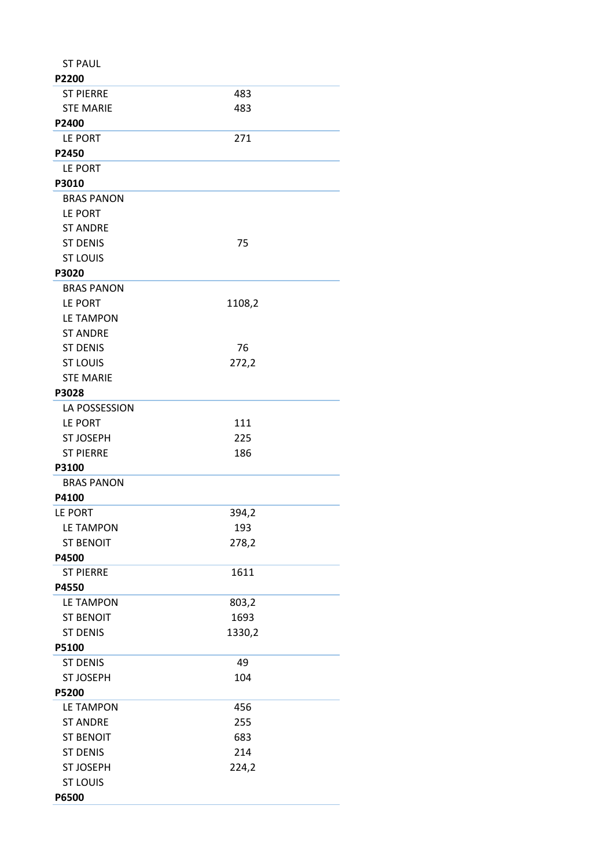| <b>ST PAUL</b>    |        |  |
|-------------------|--------|--|
| P2200             |        |  |
| <b>ST PIERRE</b>  | 483    |  |
| <b>STE MARIE</b>  | 483    |  |
| P2400             |        |  |
| LE PORT           | 271    |  |
| P2450             |        |  |
| LE PORT           |        |  |
| P3010             |        |  |
| <b>BRAS PANON</b> |        |  |
| LE PORT           |        |  |
| <b>ST ANDRE</b>   |        |  |
| <b>ST DENIS</b>   | 75     |  |
| <b>ST LOUIS</b>   |        |  |
| P3020             |        |  |
| <b>BRAS PANON</b> |        |  |
| LE PORT           | 1108,2 |  |
| <b>LE TAMPON</b>  |        |  |
| <b>ST ANDRE</b>   |        |  |
| <b>ST DENIS</b>   | 76     |  |
| <b>ST LOUIS</b>   | 272,2  |  |
| <b>STE MARIE</b>  |        |  |
| P3028             |        |  |
| LA POSSESSION     |        |  |
| LE PORT           | 111    |  |
| <b>ST JOSEPH</b>  | 225    |  |
| <b>ST PIERRE</b>  | 186    |  |
| P3100             |        |  |
| <b>BRAS PANON</b> |        |  |
| P4100             |        |  |
| LE PORT           | 394,2  |  |
| <b>LE TAMPON</b>  | 193    |  |
| <b>ST BENOIT</b>  | 278,2  |  |
| P4500             |        |  |
| <b>ST PIERRE</b>  | 1611   |  |
| P4550             |        |  |
| <b>LE TAMPON</b>  | 803,2  |  |
| <b>ST BENOIT</b>  | 1693   |  |
| <b>ST DENIS</b>   | 1330,2 |  |
| P5100             |        |  |
| <b>ST DENIS</b>   | 49     |  |
| <b>ST JOSEPH</b>  | 104    |  |
| P5200             |        |  |
| <b>LE TAMPON</b>  | 456    |  |
| <b>ST ANDRE</b>   | 255    |  |
| <b>ST BENOIT</b>  | 683    |  |
| <b>ST DENIS</b>   | 214    |  |
| <b>ST JOSEPH</b>  | 224,2  |  |
| <b>ST LOUIS</b>   |        |  |
| P6500             |        |  |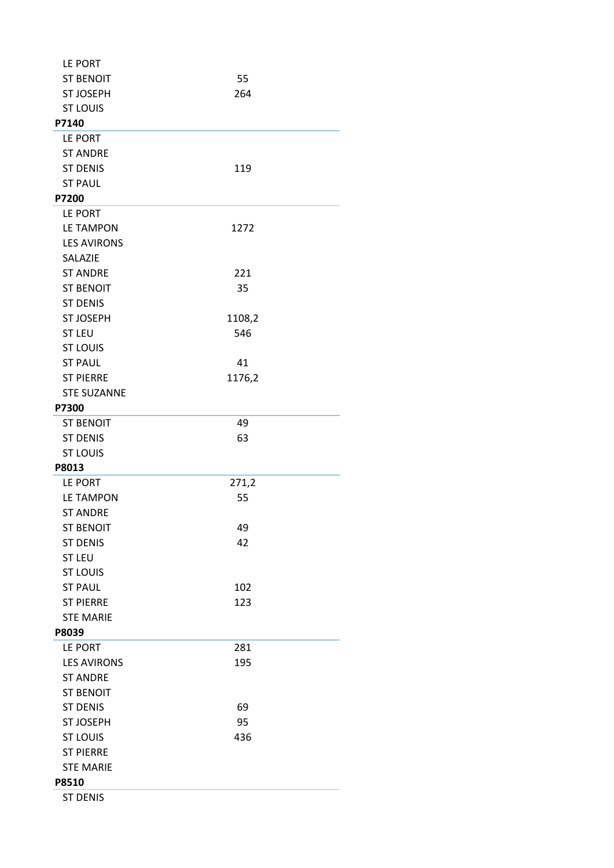| LE PORT            |        |  |
|--------------------|--------|--|
| <b>ST BENOIT</b>   | 55     |  |
| <b>ST JOSEPH</b>   | 264    |  |
| <b>ST LOUIS</b>    |        |  |
| P7140              |        |  |
| LE PORT            |        |  |
| <b>ST ANDRE</b>    |        |  |
| <b>ST DENIS</b>    | 119    |  |
| <b>ST PAUL</b>     |        |  |
| P7200              |        |  |
| LE PORT            |        |  |
| <b>LE TAMPON</b>   | 1272   |  |
| <b>LES AVIRONS</b> |        |  |
| SALAZIE            |        |  |
| <b>ST ANDRE</b>    | 221    |  |
| <b>ST BENOIT</b>   | 35     |  |
| <b>ST DENIS</b>    |        |  |
| <b>ST JOSEPH</b>   | 1108,2 |  |
| <b>ST LEU</b>      | 546    |  |
| <b>ST LOUIS</b>    |        |  |
| <b>ST PAUL</b>     | 41     |  |
| <b>ST PIERRE</b>   | 1176,2 |  |
| <b>STE SUZANNE</b> |        |  |
| P7300              |        |  |
| <b>ST BENOIT</b>   | 49     |  |
| <b>ST DENIS</b>    | 63     |  |
| <b>ST LOUIS</b>    |        |  |
| P8013              |        |  |
| LE PORT            | 271,2  |  |
| <b>LE TAMPON</b>   | 55     |  |
| <b>ST ANDRE</b>    |        |  |
| <b>ST BENOIT</b>   | 49     |  |
| <b>ST DENIS</b>    | 42     |  |
| <b>ST LEU</b>      |        |  |
| <b>ST LOUIS</b>    |        |  |
| <b>ST PAUL</b>     | 102    |  |
| <b>ST PIERRE</b>   | 123    |  |
| <b>STE MARIE</b>   |        |  |
| P8039              |        |  |
| LE PORT            | 281    |  |
| <b>LES AVIRONS</b> | 195    |  |
| <b>ST ANDRE</b>    |        |  |
| <b>ST BENOIT</b>   |        |  |
| <b>ST DENIS</b>    | 69     |  |
| <b>ST JOSEPH</b>   | 95     |  |
| <b>ST LOUIS</b>    | 436    |  |
| <b>ST PIERRE</b>   |        |  |
| <b>STE MARIE</b>   |        |  |
| P8510              |        |  |
| <b>ST DENIS</b>    |        |  |
|                    |        |  |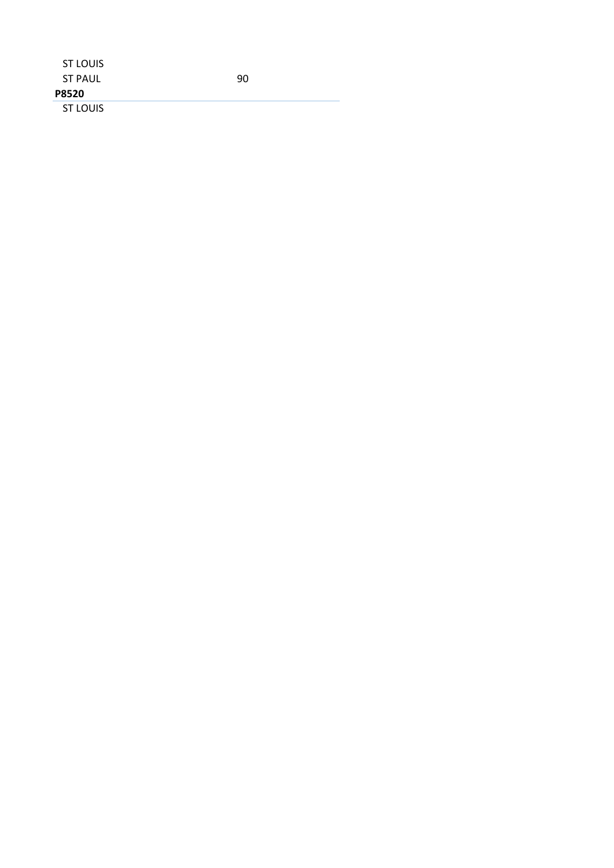| ST LOUIS       |    |  |
|----------------|----|--|
| <b>ST PAUL</b> | 90 |  |
| <b>P8520</b>   |    |  |
| ST LOUIS       |    |  |